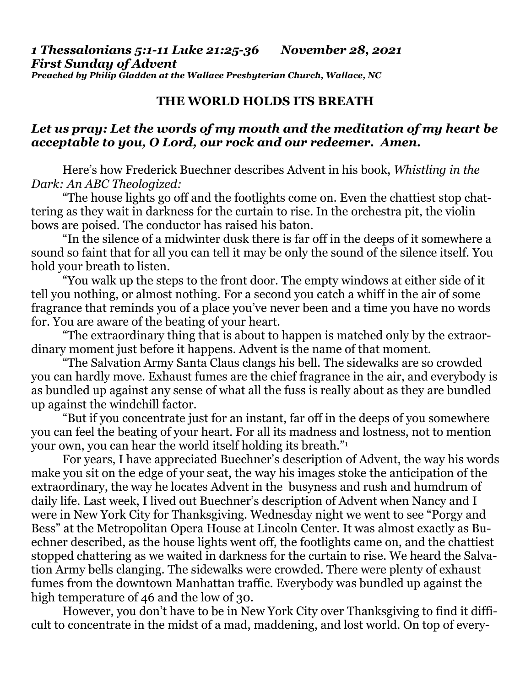*1 Thessalonians 5:1-11 Luke 21:25-36 November 28, 2021 First Sunday of Advent Preached by Philip Gladden at the Wallace Presbyterian Church, Wallace, NC* 

## **THE WORLD HOLDS ITS BREATH**

## *Let us pray: Let the words of my mouth and the meditation of my heart be acceptable to you, O Lord, our rock and our redeemer. Amen.*

Here's how Frederick Buechner describes Advent in his book, *Whistling in the Dark: An ABC Theologized:* 

 "The house lights go off and the footlights come on. Even the chattiest stop chattering as they wait in darkness for the curtain to rise. In the orchestra pit, the violin bows are poised. The conductor has raised his baton.

 "In the silence of a midwinter dusk there is far off in the deeps of it somewhere a sound so faint that for all you can tell it may be only the sound of the silence itself. You hold your breath to listen.

 "You walk up the steps to the front door. The empty windows at either side of it tell you nothing, or almost nothing. For a second you catch a whiff in the air of some fragrance that reminds you of a place you've never been and a time you have no words for. You are aware of the beating of your heart.

 "The extraordinary thing that is about to happen is matched only by the extraordinary moment just before it happens. Advent is the name of that moment.

 "The Salvation Army Santa Claus clangs his bell. The sidewalks are so crowded you can hardly move. Exhaust fumes are the chief fragrance in the air, and everybody is as bundled up against any sense of what all the fuss is really about as they are bundled up against the windchill factor.

 "But if you concentrate just for an instant, far off in the deeps of you somewhere you can feel the beating of your heart. For all its madness and lostness, not to mention your own, you can hear the world itself holding its breath."<sup>1</sup>

 For years, I have appreciated Buechner's description of Advent, the way his words make you sit on the edge of your seat, the way his images stoke the anticipation of the extraordinary, the way he locates Advent in the busyness and rush and humdrum of daily life. Last week, I lived out Buechner's description of Advent when Nancy and I were in New York City for Thanksgiving. Wednesday night we went to see "Porgy and Bess" at the Metropolitan Opera House at Lincoln Center. It was almost exactly as Buechner described, as the house lights went off, the footlights came on, and the chattiest stopped chattering as we waited in darkness for the curtain to rise. We heard the Salvation Army bells clanging. The sidewalks were crowded. There were plenty of exhaust fumes from the downtown Manhattan traffic. Everybody was bundled up against the high temperature of 46 and the low of 30.

 However, you don't have to be in New York City over Thanksgiving to find it difficult to concentrate in the midst of a mad, maddening, and lost world. On top of every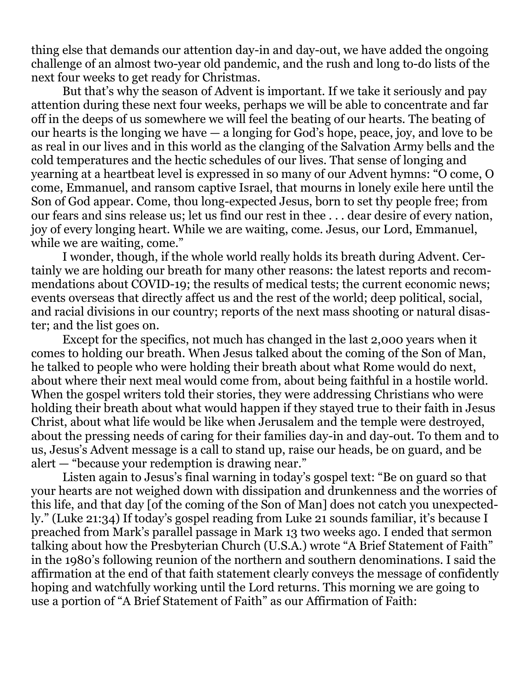thing else that demands our attention day-in and day-out, we have added the ongoing challenge of an almost two-year old pandemic, and the rush and long to-do lists of the next four weeks to get ready for Christmas.

 But that's why the season of Advent is important. If we take it seriously and pay attention during these next four weeks, perhaps we will be able to concentrate and far off in the deeps of us somewhere we will feel the beating of our hearts. The beating of our hearts is the longing we have — a longing for God's hope, peace, joy, and love to be as real in our lives and in this world as the clanging of the Salvation Army bells and the cold temperatures and the hectic schedules of our lives. That sense of longing and yearning at a heartbeat level is expressed in so many of our Advent hymns: "O come, O come, Emmanuel, and ransom captive Israel, that mourns in lonely exile here until the Son of God appear. Come, thou long-expected Jesus, born to set thy people free; from our fears and sins release us; let us find our rest in thee . . . dear desire of every nation, joy of every longing heart. While we are waiting, come. Jesus, our Lord, Emmanuel, while we are waiting, come."

 I wonder, though, if the whole world really holds its breath during Advent. Certainly we are holding our breath for many other reasons: the latest reports and recommendations about COVID-19; the results of medical tests; the current economic news; events overseas that directly affect us and the rest of the world; deep political, social, and racial divisions in our country; reports of the next mass shooting or natural disaster; and the list goes on.

 Except for the specifics, not much has changed in the last 2,000 years when it comes to holding our breath. When Jesus talked about the coming of the Son of Man, he talked to people who were holding their breath about what Rome would do next, about where their next meal would come from, about being faithful in a hostile world. When the gospel writers told their stories, they were addressing Christians who were holding their breath about what would happen if they stayed true to their faith in Jesus Christ, about what life would be like when Jerusalem and the temple were destroyed, about the pressing needs of caring for their families day-in and day-out. To them and to us, Jesus's Advent message is a call to stand up, raise our heads, be on guard, and be alert — "because your redemption is drawing near."

 Listen again to Jesus's final warning in today's gospel text: "Be on guard so that your hearts are not weighed down with dissipation and drunkenness and the worries of this life, and that day [of the coming of the Son of Man] does not catch you unexpectedly." (Luke 21:34) If today's gospel reading from Luke 21 sounds familiar, it's because I preached from Mark's parallel passage in Mark 13 two weeks ago. I ended that sermon talking about how the Presbyterian Church (U.S.A.) wrote "A Brief Statement of Faith" in the 1980's following reunion of the northern and southern denominations. I said the affirmation at the end of that faith statement clearly conveys the message of confidently hoping and watchfully working until the Lord returns. This morning we are going to use a portion of "A Brief Statement of Faith" as our Affirmation of Faith: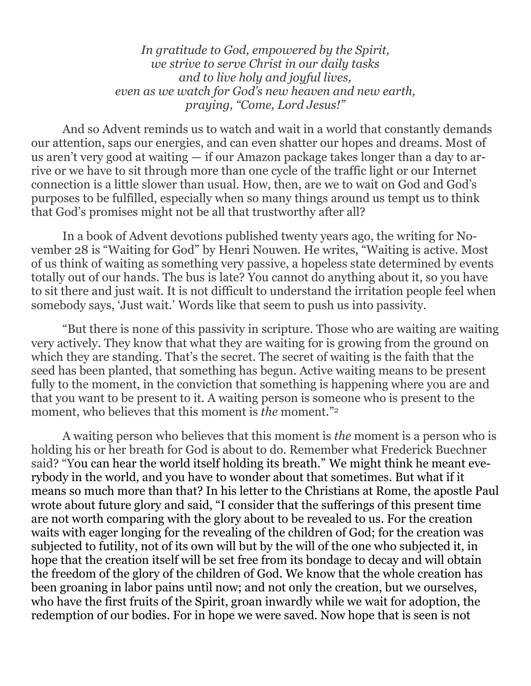*In gratitude to God, empowered by the Spirit, we strive to serve Christ in our daily tasks and to live holy and joyful lives, even as we watch for God's new heaven and new earth, praying, "Come, Lord Jesus!"* 

 And so Advent reminds us to watch and wait in a world that constantly demands our attention, saps our energies, and can even shatter our hopes and dreams. Most of us aren't very good at waiting — if our Amazon package takes longer than a day to arrive or we have to sit through more than one cycle of the traffic light or our Internet connection is a little slower than usual. How, then, are we to wait on God and God's purposes to be fulfilled, especially when so many things around us tempt us to think that God's promises might not be all that trustworthy after all?

 In a book of Advent devotions published twenty years ago, the writing for November 28 is "Waiting for God" by Henri Nouwen. He writes, "Waiting is active. Most of us think of waiting as something very passive, a hopeless state determined by events totally out of our hands. The bus is late? You cannot do anything about it, so you have to sit there and just wait. It is not difficult to understand the irritation people feel when somebody says, 'Just wait.' Words like that seem to push us into passivity.

 "But there is none of this passivity in scripture. Those who are waiting are waiting very actively. They know that what they are waiting for is growing from the ground on which they are standing. That's the secret. The secret of waiting is the faith that the seed has been planted, that something has begun. Active waiting means to be present fully to the moment, in the conviction that something is happening where you are and that you want to be present to it. A waiting person is someone who is present to the moment, who believes that this moment is *the* moment."<sup>2</sup>

 A waiting person who believes that this moment is *the* moment is a person who is holding his or her breath for God is about to do. Remember what Frederick Buechner said? "You can hear the world itself holding its breath." We might think he meant everybody in the world, and you have to wonder about that sometimes. But what if it means so much more than that? In his letter to the Christians at Rome, the apostle Paul wrote about future glory and said, "I consider that the sufferings of this present time are not worth comparing with the glory about to be revealed to us. For the creation waits with eager longing for the revealing of the children of God; for the creation was subjected to futility, not of its own will but by the will of the one who subjected it, in hope that the creation itself will be set free from its bondage to decay and will obtain the freedom of the glory of the children of God. We know that the whole creation has been groaning in labor pains until now; and not only the creation, but we ourselves, who have the first fruits of the Spirit, groan inwardly while we wait for adoption, the redemption of our bodies. For in hope we were saved. Now hope that is seen is not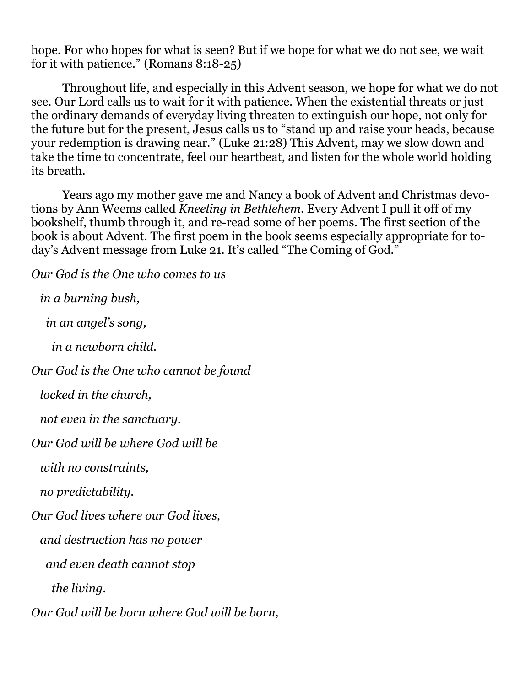hope. For who hopes for what is seen? But if we hope for what we do not see, we wait for it with patience." (Romans 8:18-25)

 Throughout life, and especially in this Advent season, we hope for what we do not see. Our Lord calls us to wait for it with patience. When the existential threats or just the ordinary demands of everyday living threaten to extinguish our hope, not only for the future but for the present, Jesus calls us to "stand up and raise your heads, because your redemption is drawing near." (Luke 21:28) This Advent, may we slow down and take the time to concentrate, feel our heartbeat, and listen for the whole world holding its breath.

 Years ago my mother gave me and Nancy a book of Advent and Christmas devotions by Ann Weems called *Kneeling in Bethlehem.* Every Advent I pull it off of my bookshelf, thumb through it, and re-read some of her poems. The first section of the book is about Advent. The first poem in the book seems especially appropriate for today's Advent message from Luke 21. It's called "The Coming of God."

*Our God is the One who comes to us in a burning bush,* 

 *in an angel's song,* 

 *in a newborn child.* 

*Our God is the One who cannot be found* 

 *locked in the church,* 

 *not even in the sanctuary.* 

*Our God will be where God will be* 

 *with no constraints,* 

 *no predictability.* 

*Our God lives where our God lives,* 

 *and destruction has no power* 

 *and even death cannot stop* 

 *the living.* 

*Our God will be born where God will be born,*